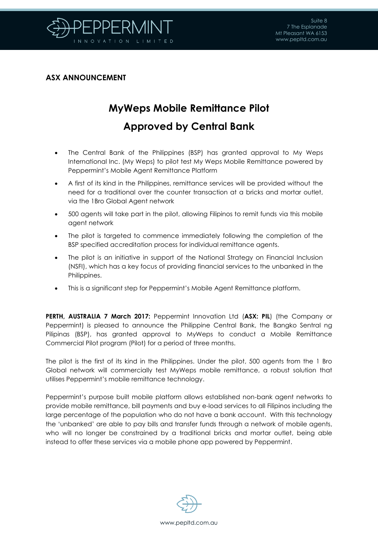

## **ASX ANNOUNCEMENT**

## **MyWeps Mobile Remittance Pilot Approved by Central Bank**

- The Central Bank of the Philippines (BSP) has granted approval to My Weps International Inc. (My Weps) to pilot test My Weps Mobile Remittance powered by Peppermint's Mobile Agent Remittance Platform
- A first of its kind in the Philippines, remittance services will be provided without the need for a traditional over the counter transaction at a bricks and mortar outlet, via the 1Bro Global Agent network
- 500 agents will take part in the pilot, allowing Filipinos to remit funds via this mobile agent network
- The pilot is targeted to commence immediately following the completion of the BSP specified accreditation process for individual remittance agents.
- The pilot is an initiative in support of the National Strategy on Financial Inclusion (NSFI), which has a key focus of providing financial services to the unbanked in the Philippines.
- This is a significant step for Peppermint's Mobile Agent Remittance platform.

**PERTH, AUSTRALIA 7 March 2017:** Peppermint Innovation Ltd (**ASX: PIL**) (the Company or Peppermint) is pleased to announce the Philippine Central Bank, the Bangko Sentral ng Pilipinas (BSP), has granted approval to MyWeps to conduct a Mobile Remittance Commercial Pilot program (Pilot) for a period of three months.

The pilot is the first of its kind in the Philippines. Under the pilot, 500 agents from the 1 Bro Global network will commercially test MyWeps mobile remittance, a robust solution that utilises Peppermint's mobile remittance technology.

Peppermint's purpose built mobile platform allows established non-bank agent networks to provide mobile remittance, bill payments and buy e-load services to all Filipinos including the large percentage of the population who do not have a bank account. With this technology the 'unbanked' are able to pay bills and transfer funds through a network of mobile agents, who will no longer be constrained by a traditional bricks and mortar outlet, being able instead to offer these services via a mobile phone app powered by Peppermint.